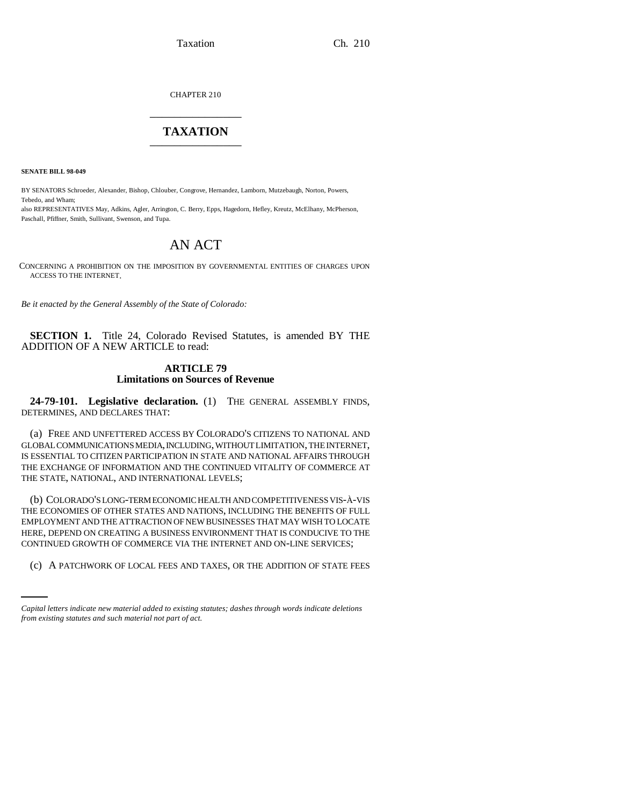Taxation Ch. 210

CHAPTER 210 \_\_\_\_\_\_\_\_\_\_\_\_\_\_\_

# **TAXATION** \_\_\_\_\_\_\_\_\_\_\_\_\_\_\_

**SENATE BILL 98-049**

BY SENATORS Schroeder, Alexander, Bishop, Chlouber, Congrove, Hernandez, Lamborn, Mutzebaugh, Norton, Powers, Tebedo, and Wham;

also REPRESENTATIVES May, Adkins, Agler, Arrington, C. Berry, Epps, Hagedorn, Hefley, Kreutz, McElhany, McPherson, Paschall, Pfiffner, Smith, Sullivant, Swenson, and Tupa.

# AN ACT

CONCERNING A PROHIBITION ON THE IMPOSITION BY GOVERNMENTAL ENTITIES OF CHARGES UPON ACCESS TO THE INTERNET.

*Be it enacted by the General Assembly of the State of Colorado:*

**SECTION 1.** Title 24, Colorado Revised Statutes, is amended BY THE ADDITION OF A NEW ARTICLE to read:

### **ARTICLE 79 Limitations on Sources of Revenue**

**24-79-101. Legislative declaration.** (1) THE GENERAL ASSEMBLY FINDS, DETERMINES, AND DECLARES THAT:

(a) FREE AND UNFETTERED ACCESS BY COLORADO'S CITIZENS TO NATIONAL AND GLOBAL COMMUNICATIONS MEDIA, INCLUDING, WITHOUT LIMITATION, THE INTERNET, IS ESSENTIAL TO CITIZEN PARTICIPATION IN STATE AND NATIONAL AFFAIRS THROUGH THE EXCHANGE OF INFORMATION AND THE CONTINUED VITALITY OF COMMERCE AT THE STATE, NATIONAL, AND INTERNATIONAL LEVELS;

CONTINUED GROWTH OF COMMERCE VIA THE INTERNET AND ON-LINE SERVICES; (b) COLORADO'S LONG-TERM ECONOMIC HEALTH AND COMPETITIVENESS VIS-À-VIS THE ECONOMIES OF OTHER STATES AND NATIONS, INCLUDING THE BENEFITS OF FULL EMPLOYMENT AND THE ATTRACTION OF NEW BUSINESSES THAT MAY WISH TO LOCATE HERE, DEPEND ON CREATING A BUSINESS ENVIRONMENT THAT IS CONDUCIVE TO THE

(c) A PATCHWORK OF LOCAL FEES AND TAXES, OR THE ADDITION OF STATE FEES

*Capital letters indicate new material added to existing statutes; dashes through words indicate deletions from existing statutes and such material not part of act.*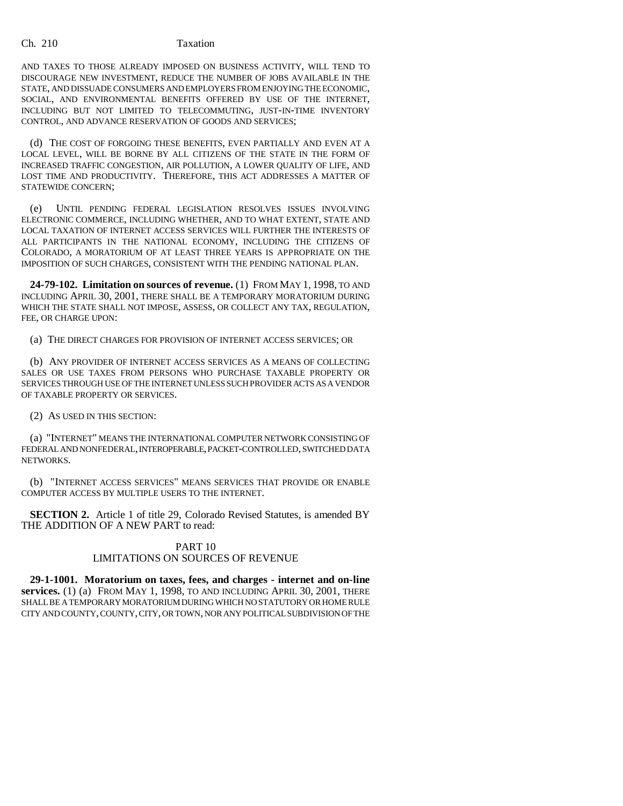Ch. 210 Taxation

AND TAXES TO THOSE ALREADY IMPOSED ON BUSINESS ACTIVITY, WILL TEND TO DISCOURAGE NEW INVESTMENT, REDUCE THE NUMBER OF JOBS AVAILABLE IN THE STATE, AND DISSUADE CONSUMERS AND EMPLOYERS FROM ENJOYING THE ECONOMIC, SOCIAL, AND ENVIRONMENTAL BENEFITS OFFERED BY USE OF THE INTERNET, INCLUDING BUT NOT LIMITED TO TELECOMMUTING, JUST-IN-TIME INVENTORY CONTROL, AND ADVANCE RESERVATION OF GOODS AND SERVICES;

(d) THE COST OF FORGOING THESE BENEFITS, EVEN PARTIALLY AND EVEN AT A LOCAL LEVEL, WILL BE BORNE BY ALL CITIZENS OF THE STATE IN THE FORM OF INCREASED TRAFFIC CONGESTION, AIR POLLUTION, A LOWER QUALITY OF LIFE, AND LOST TIME AND PRODUCTIVITY. THEREFORE, THIS ACT ADDRESSES A MATTER OF STATEWIDE CONCERN;

(e) UNTIL PENDING FEDERAL LEGISLATION RESOLVES ISSUES INVOLVING ELECTRONIC COMMERCE, INCLUDING WHETHER, AND TO WHAT EXTENT, STATE AND LOCAL TAXATION OF INTERNET ACCESS SERVICES WILL FURTHER THE INTERESTS OF ALL PARTICIPANTS IN THE NATIONAL ECONOMY, INCLUDING THE CITIZENS OF COLORADO, A MORATORIUM OF AT LEAST THREE YEARS IS APPROPRIATE ON THE IMPOSITION OF SUCH CHARGES, CONSISTENT WITH THE PENDING NATIONAL PLAN.

**24-79-102. Limitation on sources of revenue.** (1) FROM MAY 1, 1998, TO AND INCLUDING APRIL 30, 2001, THERE SHALL BE A TEMPORARY MORATORIUM DURING WHICH THE STATE SHALL NOT IMPOSE, ASSESS, OR COLLECT ANY TAX, REGULATION, FEE, OR CHARGE UPON:

(a) THE DIRECT CHARGES FOR PROVISION OF INTERNET ACCESS SERVICES; OR

(b) ANY PROVIDER OF INTERNET ACCESS SERVICES AS A MEANS OF COLLECTING SALES OR USE TAXES FROM PERSONS WHO PURCHASE TAXABLE PROPERTY OR SERVICES THROUGH USE OF THE INTERNET UNLESS SUCH PROVIDER ACTS AS A VENDOR OF TAXABLE PROPERTY OR SERVICES.

(2) AS USED IN THIS SECTION:

(a) "INTERNET" MEANS THE INTERNATIONAL COMPUTER NETWORK CONSISTING OF FEDERAL AND NONFEDERAL, INTEROPERABLE, PACKET-CONTROLLED, SWITCHED DATA NETWORKS.

(b) "INTERNET ACCESS SERVICES" MEANS SERVICES THAT PROVIDE OR ENABLE COMPUTER ACCESS BY MULTIPLE USERS TO THE INTERNET.

**SECTION 2.** Article 1 of title 29, Colorado Revised Statutes, is amended BY THE ADDITION OF A NEW PART to read:

## PART 10 LIMITATIONS ON SOURCES OF REVENUE

**29-1-1001. Moratorium on taxes, fees, and charges - internet and on-line services.** (1) (a) FROM MAY 1, 1998, TO AND INCLUDING APRIL 30, 2001, THERE SHALL BE A TEMPORARY MORATORIUM DURING WHICH NO STATUTORY OR HOME RULE CITY AND COUNTY, COUNTY, CITY, OR TOWN, NOR ANY POLITICAL SUBDIVISION OF THE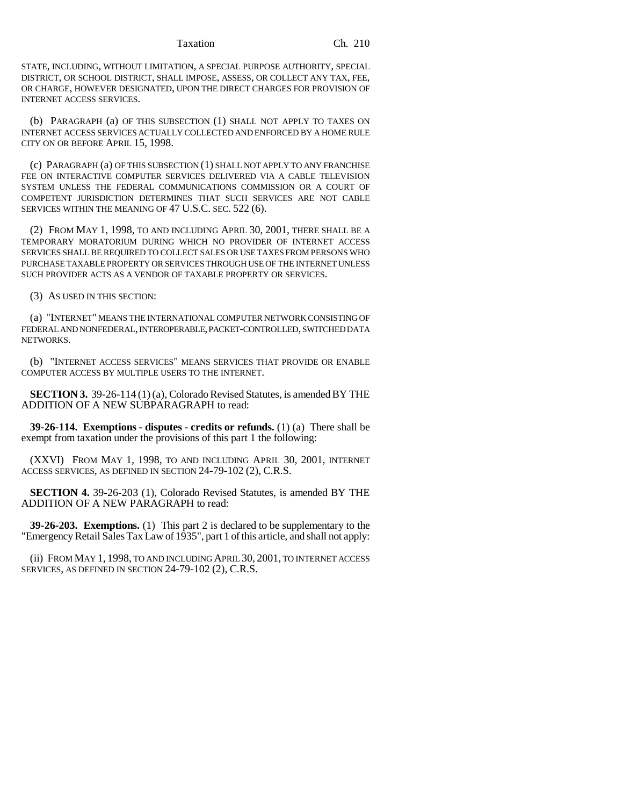Taxation Ch. 210

STATE, INCLUDING, WITHOUT LIMITATION, A SPECIAL PURPOSE AUTHORITY, SPECIAL DISTRICT, OR SCHOOL DISTRICT, SHALL IMPOSE, ASSESS, OR COLLECT ANY TAX, FEE, OR CHARGE, HOWEVER DESIGNATED, UPON THE DIRECT CHARGES FOR PROVISION OF INTERNET ACCESS SERVICES.

(b) PARAGRAPH (a) OF THIS SUBSECTION (1) SHALL NOT APPLY TO TAXES ON INTERNET ACCESS SERVICES ACTUALLY COLLECTED AND ENFORCED BY A HOME RULE CITY ON OR BEFORE APRIL 15, 1998.

(c) PARAGRAPH (a) OF THIS SUBSECTION (1) SHALL NOT APPLY TO ANY FRANCHISE FEE ON INTERACTIVE COMPUTER SERVICES DELIVERED VIA A CABLE TELEVISION SYSTEM UNLESS THE FEDERAL COMMUNICATIONS COMMISSION OR A COURT OF COMPETENT JURISDICTION DETERMINES THAT SUCH SERVICES ARE NOT CABLE SERVICES WITHIN THE MEANING OF 47 U.S.C. SEC. 522 (6).

(2) FROM MAY 1, 1998, TO AND INCLUDING APRIL 30, 2001, THERE SHALL BE A TEMPORARY MORATORIUM DURING WHICH NO PROVIDER OF INTERNET ACCESS SERVICES SHALL BE REQUIRED TO COLLECT SALES OR USE TAXES FROM PERSONS WHO PURCHASE TAXABLE PROPERTY OR SERVICES THROUGH USE OF THE INTERNET UNLESS SUCH PROVIDER ACTS AS A VENDOR OF TAXABLE PROPERTY OR SERVICES.

(3) AS USED IN THIS SECTION:

(a) "INTERNET" MEANS THE INTERNATIONAL COMPUTER NETWORK CONSISTING OF FEDERAL AND NONFEDERAL, INTEROPERABLE, PACKET-CONTROLLED, SWITCHED DATA NETWORKS.

(b) "INTERNET ACCESS SERVICES" MEANS SERVICES THAT PROVIDE OR ENABLE COMPUTER ACCESS BY MULTIPLE USERS TO THE INTERNET.

**SECTION 3.** 39-26-114 (1) (a), Colorado Revised Statutes, is amended BY THE ADDITION OF A NEW SUBPARAGRAPH to read:

**39-26-114. Exemptions - disputes - credits or refunds.** (1) (a) There shall be exempt from taxation under the provisions of this part 1 the following:

(XXVI) FROM MAY 1, 1998, TO AND INCLUDING APRIL 30, 2001, INTERNET ACCESS SERVICES, AS DEFINED IN SECTION 24-79-102 (2), C.R.S.

**SECTION 4.** 39-26-203 (1), Colorado Revised Statutes, is amended BY THE ADDITION OF A NEW PARAGRAPH to read:

**39-26-203. Exemptions.** (1) This part 2 is declared to be supplementary to the "Emergency Retail Sales Tax Law of 1935", part 1 of this article, and shall not apply:

(ii) FROM MAY 1, 1998, TO AND INCLUDING APRIL 30, 2001, TO INTERNET ACCESS SERVICES, AS DEFINED IN SECTION 24-79-102 (2), C.R.S.